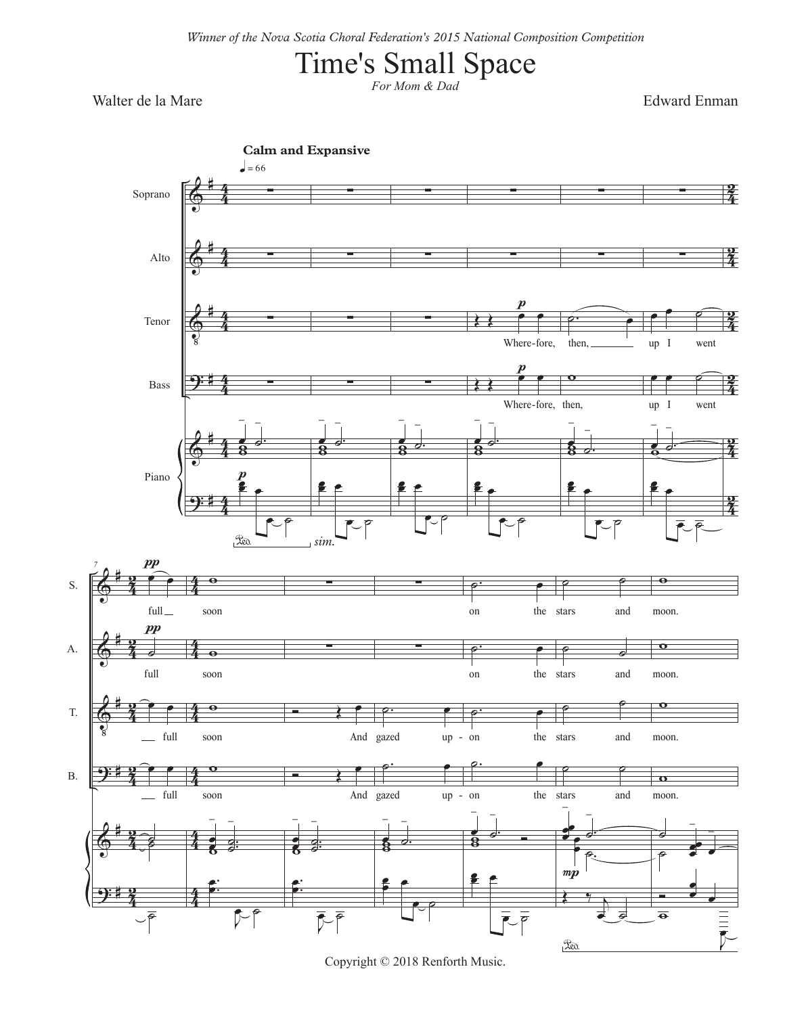## Time's Small Space

*For Mom & Dad*

Walter de la Mare Edward Enman



Copyright © 2018 Renforth Music.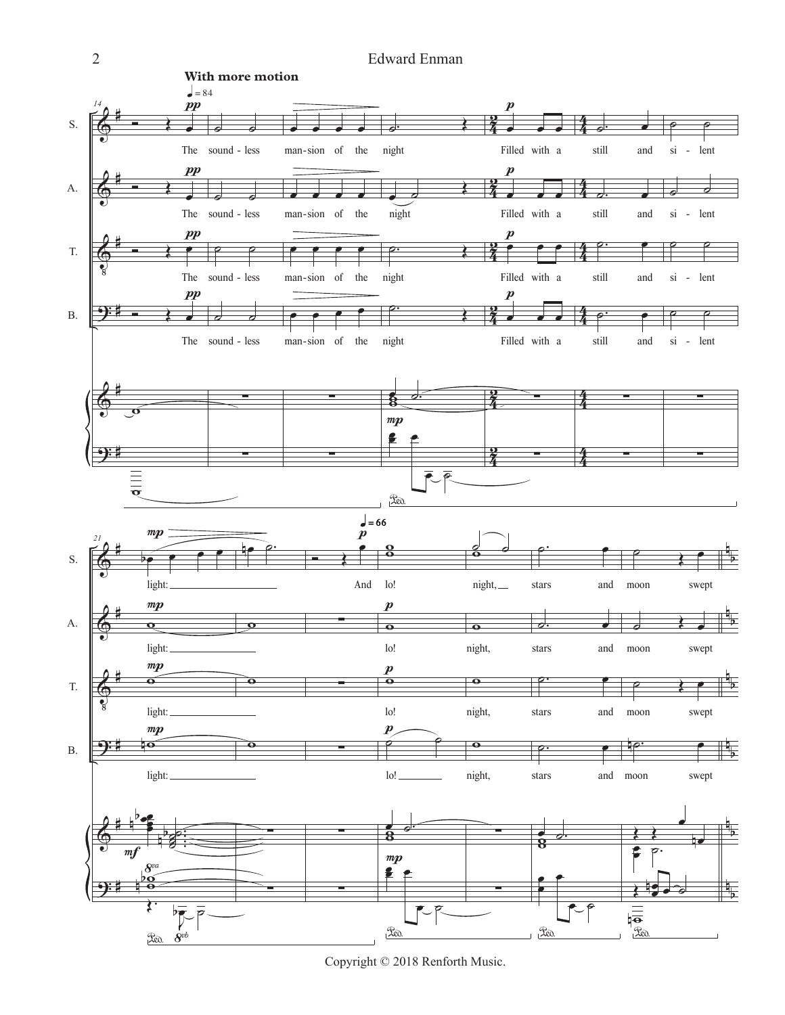

Copyright © 2018 Renforth Music.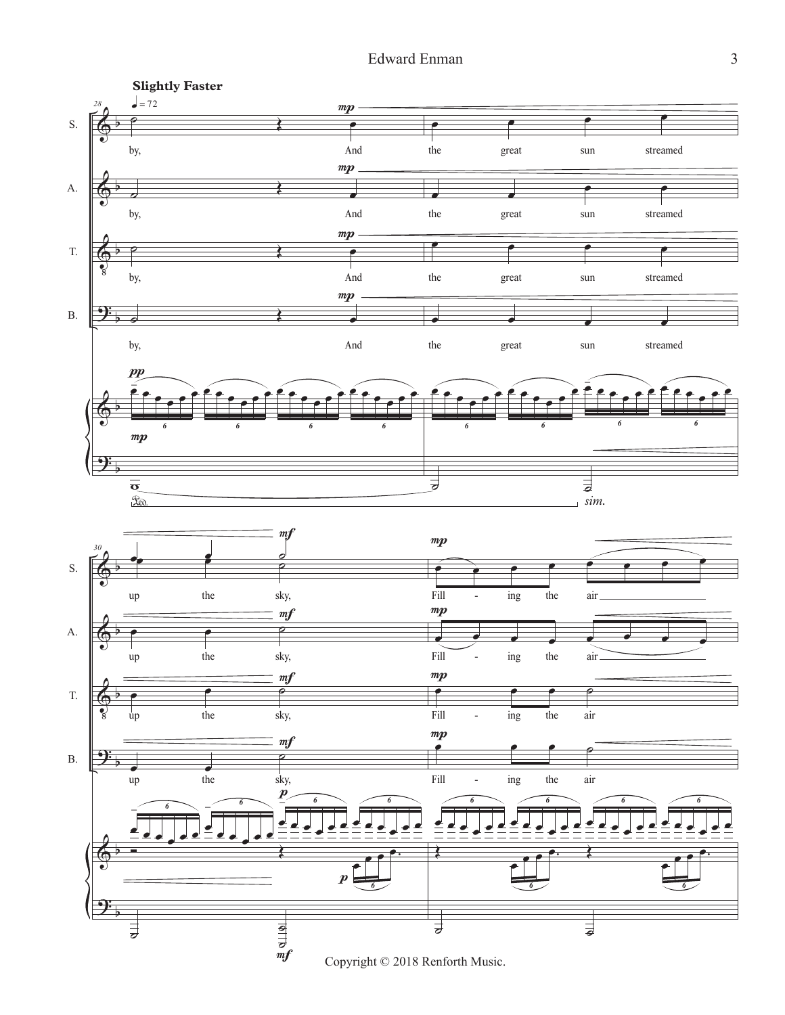

Copyright © 2018 Renforth Music.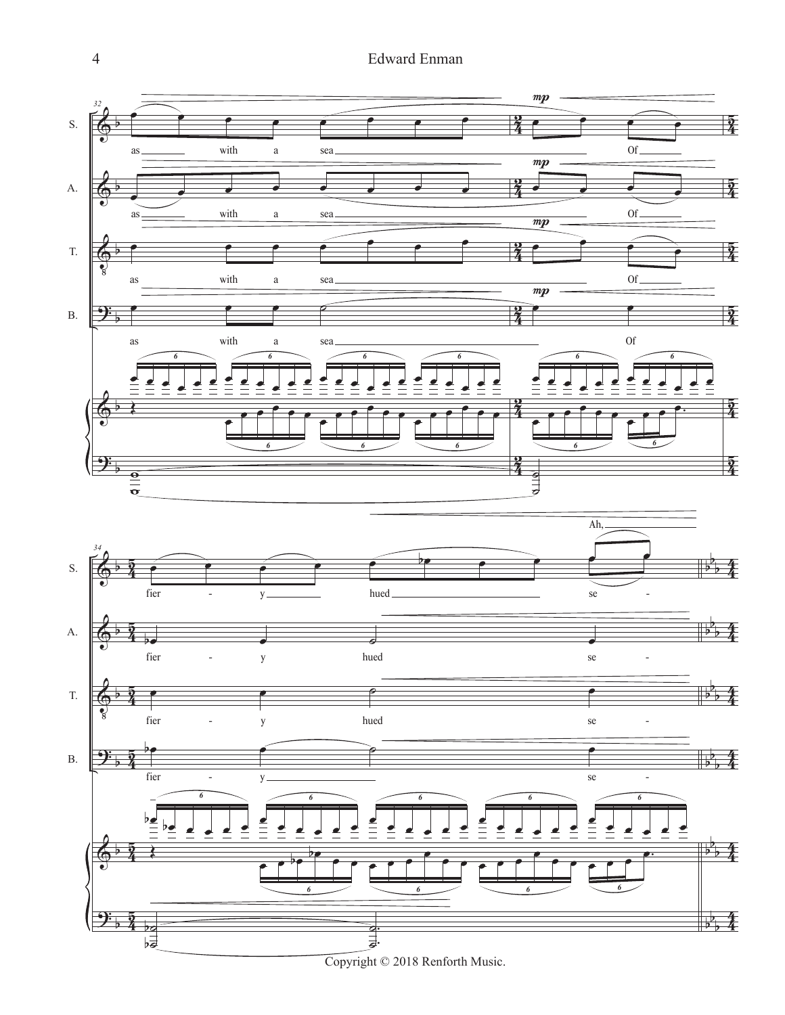4 Edward Enman